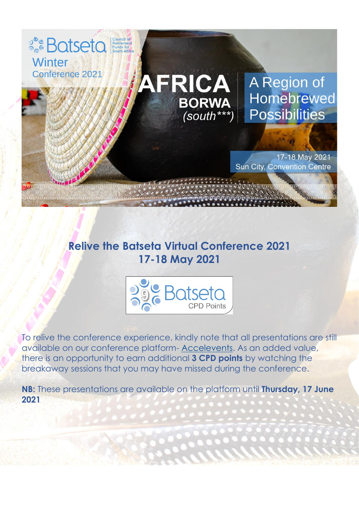

## **Relive the Batseta Virtual Conference 2021 17-18 May 2021**



To relive the conference experience, kindly note that all presentations are still available on our conference platform- [Accelevents.](https://www.accelevents.com/e/BatsetaVirtualWinterConference2021) As an added value, there is an opportunity to earn additional **3 CPD points** by watching the breakaway sessions that you may have missed during the conference.

**NB:** These presentations are available on the platform until **Thursday, 17 June 2021**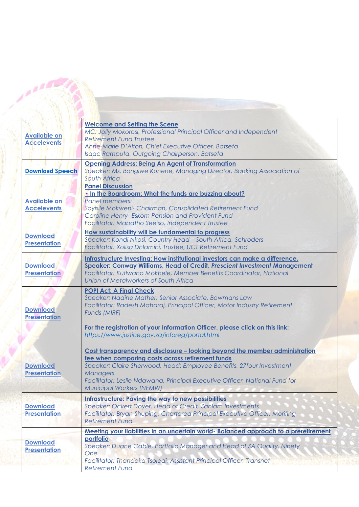| <b>Available on</b><br><b>Accelevents</b> | <b>Welcome and Setting the Scene</b><br>MC: Jolly Mokorosi, Professional Principal Officer and Independent<br>Retirement Fund Trustee.<br>Anne-Marie D'Alton, Chief Executive Officer, Batseta<br>Isaac Ramputa, Outgoing Chairperson, Batseta                                                                                        |
|-------------------------------------------|---------------------------------------------------------------------------------------------------------------------------------------------------------------------------------------------------------------------------------------------------------------------------------------------------------------------------------------|
| <b>Download Speech</b>                    | <b>Opening Address: Being An Agent of Transformation</b><br>Speaker: Ms. Bongiwe Kunene, Managing Director, Banking Association of<br><b>South Africa</b>                                                                                                                                                                             |
| <b>Available on</b><br><b>Accelevents</b> | <b>Panel Discussion</b><br>. In the Boardroom: What the funds are buzzing about?<br>Panel members:<br>Soyisile Mokweni- Chairman, Consolidated Retirement Fund<br>Caroline Henry- Eskom Pension and Provident Fund<br>Facilitator: Mabatho Seeiso, Independent Trustee                                                                |
| <b>Download</b><br><b>Presentation</b>    | How sustainability will be fundamental to progress<br>Speaker: Kondi Nkosi, Country Head - South Africa, Schroders<br>Facilitator: Xolisa Dhlamini, Trustee, UCT Retirement Fund                                                                                                                                                      |
| <b>Download</b><br><b>Presentation</b>    | Infrastructure Investing: How institutional investors can make a difference.<br>Speaker: Conway Williams, Head of Credit, Prescient Investment Management<br>Facilitator: Kutlwano Mokhele, Member Benefits Coordinator, National<br>Union of Metalworkers of South Africa                                                            |
| <b>Download</b><br><b>Presentation</b>    | <b>POPI Act: A Final Check</b><br>Speaker: Nadine Mather, Senior Associate, Bowmans Law<br>Facilitator: Radesh Maharaj, Principal Officer, Motor Industry Retirement<br>Funds (MIRF)<br>For the registration of your Information Officer, please click on this link:<br>https://www.justice.gov.za/inforeg/portal.html                |
| <b>Download</b><br><b>Presentation</b>    | Cost transparency and disclosure - looking beyond the member administration<br>fee when comparing costs across retirement funds<br>Speaker: Claire Sherwood, Head: Employee Benefits, 27four Investment<br><b>Managers</b><br>Facilitator: Leslie Ndawana, Principal Executive Officer, National Fund for<br>Municipal Workers (NFMW) |
| <b>Download</b><br><b>Presentation</b>    | <b>Infrastructure: Paving the way to new possibilities</b><br>Speaker: Ockert Doyer, Head of Credit, Sanlam Investments<br>Facilitator: Bryan Shuping, Chartered Principal Executive Officer, Moriting<br><b>Retirement Fund</b>                                                                                                      |
| <b>Download</b><br><b>Presentation</b>    | Meeting your liabilities in an uncertain world- Balanced approach to a preretirement<br>portfolio<br>Speaker: Duane Cable, Portfolio Manager and Head of SA Quality, Ninety<br>One<br>Facilitator: Thandeka Tsoledi, Assistant Principal Officer, Transnet<br><b>Retirement Fund</b>                                                  |